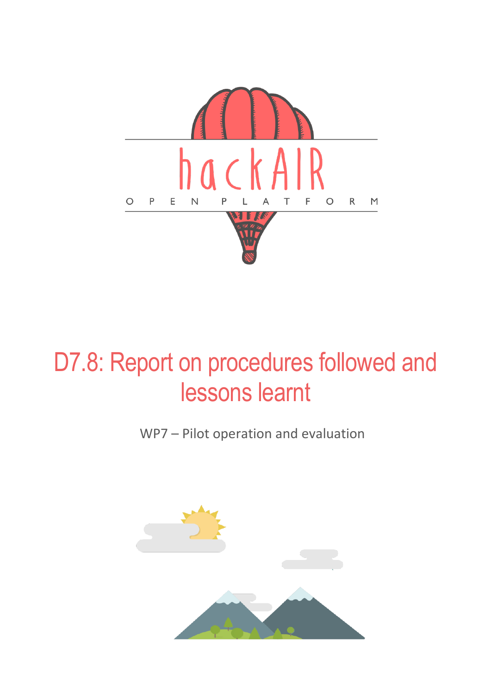

WP7 – Pilot operation and evaluation

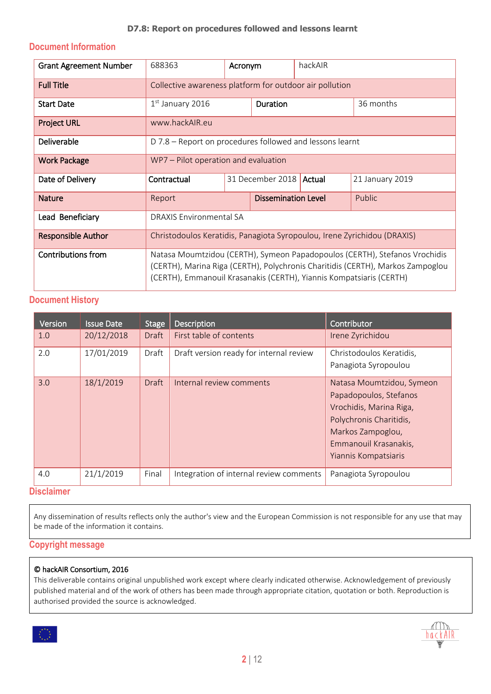#### **Document Information**

| <b>Grant Agreement Number</b> | 688363                                                                                                                                                                                                                              | Acronym            |                            | hackAIR |                 |
|-------------------------------|-------------------------------------------------------------------------------------------------------------------------------------------------------------------------------------------------------------------------------------|--------------------|----------------------------|---------|-----------------|
| <b>Full Title</b>             | Collective awareness platform for outdoor air pollution                                                                                                                                                                             |                    |                            |         |                 |
| <b>Start Date</b>             | $1st$ January 2016                                                                                                                                                                                                                  | <b>Duration</b>    |                            |         | 36 months       |
| <b>Project URL</b>            | www.hackAIR.eu                                                                                                                                                                                                                      |                    |                            |         |                 |
| Deliverable                   | D 7.8 – Report on procedures followed and lessons learnt                                                                                                                                                                            |                    |                            |         |                 |
| <b>Work Package</b>           | WP7 – Pilot operation and evaluation                                                                                                                                                                                                |                    |                            |         |                 |
| Date of Delivery              | Contractual                                                                                                                                                                                                                         |                    | 31 December 2018<br>Actual |         | 21 January 2019 |
| <b>Nature</b>                 | Report                                                                                                                                                                                                                              | Dissemination Leve |                            |         | Public          |
| Lead Beneficiary              | <b>DRAXIS Environmental SA</b>                                                                                                                                                                                                      |                    |                            |         |                 |
| <b>Responsible Author</b>     | Christodoulos Keratidis, Panagiota Syropoulou, Irene Zyrichidou (DRAXIS)                                                                                                                                                            |                    |                            |         |                 |
| <b>Contributions from</b>     | Natasa Moumtzidou (CERTH), Symeon Papadopoulos (CERTH), Stefanos Vrochidis<br>(CERTH), Marina Riga (CERTH), Polychronis Charitidis (CERTH), Markos Zampoglou<br>(CERTH), Emmanouil Krasanakis (CERTH), Yiannis Kompatsiaris (CERTH) |                    |                            |         |                 |

#### **Document History**

| Version       | <b>Issue Date</b> | <b>Stage</b> | <b>Description</b>                      | Contributor                                                                                                                                                                     |
|---------------|-------------------|--------------|-----------------------------------------|---------------------------------------------------------------------------------------------------------------------------------------------------------------------------------|
| 1.0           | 20/12/2018        | <b>Draft</b> | First table of contents                 | Irene Zyrichidou                                                                                                                                                                |
| 2.0           | 17/01/2019        | Draft        | Draft version ready for internal review | Christodoulos Keratidis,<br>Panagiota Syropoulou                                                                                                                                |
| 3.0           | 18/1/2019         | <b>Draft</b> | Internal review comments                | Natasa Moumtzidou, Symeon<br>Papadopoulos, Stefanos<br>Vrochidis, Marina Riga,<br>Polychronis Charitidis,<br>Markos Zampoglou,<br>Emmanouil Krasanakis,<br>Yiannis Kompatsiaris |
| 4.0           | 21/1/2019         | Final        | Integration of internal review comments | Panagiota Syropoulou                                                                                                                                                            |
| Nicolaithe an |                   |              |                                         |                                                                                                                                                                                 |

#### **Disclaimer**

Any dissemination of results reflects only the author's view and the European Commission is not responsible for any use that may be made of the information it contains.

#### **Copyright message**

#### © hackAIR Consortium, 2016

This deliverable contains original unpublished work except where clearly indicated otherwise. Acknowledgement of previously published material and of the work of others has been made through appropriate citation, quotation or both. Reproduction is authorised provided the source is acknowledged.



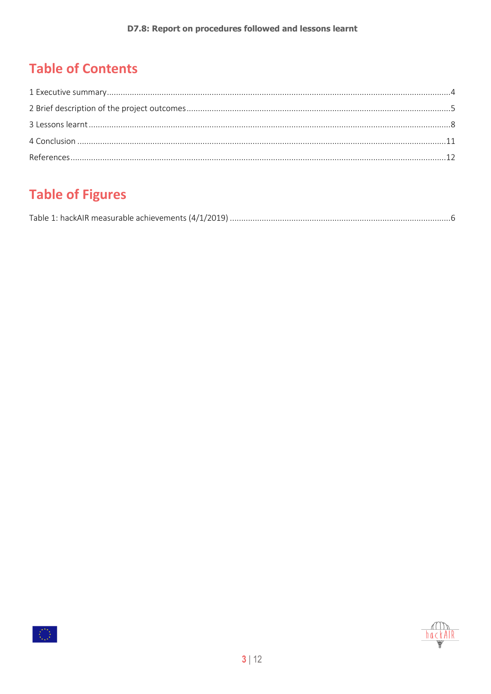### **Table of Contents**

### **Table of Figures**

|--|



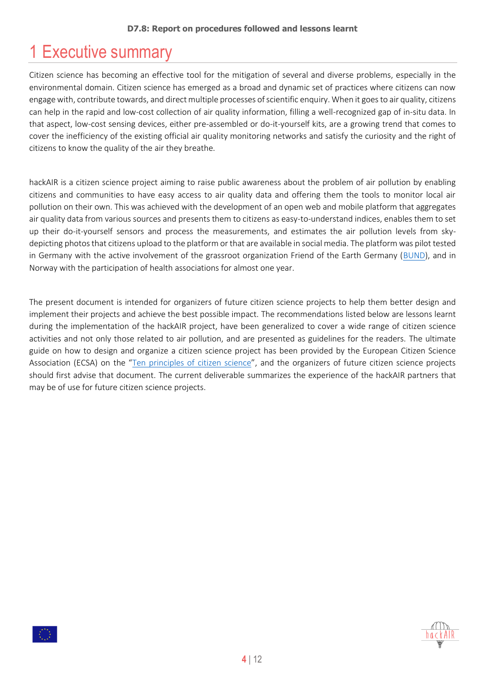### <span id="page-3-0"></span>1 Executive summary

Citizen science has becoming an effective tool for the mitigation of several and diverse problems, especially in the environmental domain. Citizen science has emerged as a broad and dynamic set of practices where citizens can now engage with, contribute towards, and direct multiple processes of scientific enquiry. When it goes to air quality, citizens can help in the rapid and low-cost collection of air quality information, filling a well-recognized gap of in-situ data. In that aspect, low-cost sensing devices, either pre-assembled or do-it-yourself kits, are a growing trend that comes to cover the inefficiency of the existing official air quality monitoring networks and satisfy the curiosity and the right of citizens to know the quality of the air they breathe.

hackAIR is a citizen science project aiming to raise public awareness about the problem of air pollution by enabling citizens and communities to have easy access to air quality data and offering them the tools to monitor local air pollution on their own. This was achieved with the development of an open web and mobile platform that aggregates air quality data from various sources and presents them to citizens as easy-to-understand indices, enables them to set up their do-it-yourself sensors and process the measurements, and estimates the air pollution levels from skydepicting photos that citizens upload to the platform or that are available in social media. The platform was pilot tested in Germany with the active involvement of the grassroot organization Friend of the Earth Germany [\(BUND\)](http://www.foeeurope.org/germany), and in Norway with the participation of health associations for almost one year.

The present document is intended for organizers of future citizen science projects to help them better design and implement their projects and achieve the best possible impact. The recommendations listed below are lessons learnt during the implementation of the hackAIR project, have been generalized to cover a wide range of citizen science activities and not only those related to air pollution, and are presented as guidelines for the readers. The ultimate guide on how to design and organize a citizen science project has been provided by the European Citizen Science Association (ECSA) on the "[Ten principles of citizen science](https://ecsa.citizen-science.net/sites/default/files/ecsa_ten_principles_of_citizen_science.pdf)", and the organizers of future citizen science projects should first advise that document. The current deliverable summarizes the experience of the hackAIR partners that may be of use for future citizen science projects.

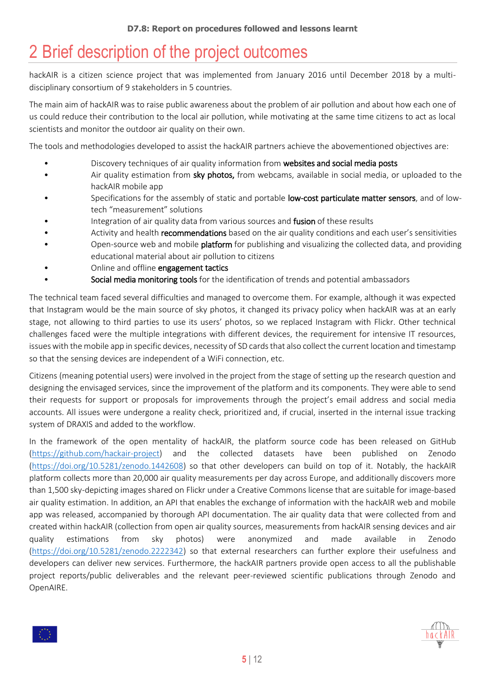# <span id="page-4-0"></span>2 Brief description of the project outcomes

hackAIR is a citizen science project that was implemented from January 2016 until December 2018 by a multidisciplinary consortium of 9 stakeholders in 5 countries.

The main aim of hackAIR was to raise public awareness about the problem of air pollution and about how each one of us could reduce their contribution to the local air pollution, while motivating at the same time citizens to act as local scientists and monitor the outdoor air quality on their own.

The tools and methodologies developed to assist the hackAIR partners achieve the abovementioned objectives are:

- Discovery techniques of air quality information from websites and social media posts
- Air quality estimation from sky photos, from webcams, available in social media, or uploaded to the hackAIR mobile app
- Specifications for the assembly of static and portable low-cost particulate matter sensors, and of lowtech "measurement" solutions
- Integration of air quality data from various sources and fusion of these results
- Activity and health recommendations based on the air quality conditions and each user's sensitivities
- Open-source web and mobile **platform** for publishing and visualizing the collected data, and providing educational material about air pollution to citizens
- Online and offline engagement tactics
- Social media monitoring tools for the identification of trends and potential ambassadors

The technical team faced several difficulties and managed to overcome them. For example, although it was expected that Instagram would be the main source of sky photos, it changed its privacy policy when hackAIR was at an early stage, not allowing to third parties to use its users' photos, so we replaced Instagram with Flickr. Other technical challenges faced were the multiple integrations with different devices, the requirement for intensive IT resources, issues with the mobile app in specific devices, necessity of SD cards that also collect the current location and timestamp so that the sensing devices are independent of a WiFi connection, etc.

Citizens (meaning potential users) were involved in the project from the stage of setting up the research question and designing the envisaged services, since the improvement of the platform and its components. They were able to send their requests for support or proposals for improvements through the project's email address and social media accounts. All issues were undergone a reality check, prioritized and, if crucial, inserted in the internal issue tracking system of DRAXIS and added to the workflow.

In the framework of the open mentality of hackAIR, the platform source code has been released on GitHub [\(https://github.com/hackair-project\)](https://github.com/hackair-project) and the collected datasets have been published on Zenodo [\(https://doi.org/10.5281/zenodo.1442608\)](https://doi.org/10.5281/zenodo.1442608) so that other developers can build on top of it. Notably, the hackAIR platform collects more than 20,000 air quality measurements per day across Europe, and additionally discovers more than 1,500 sky-depicting images shared on Flickr under a Creative Commons license that are suitable for image-based air quality estimation. In addition, an API that enables the exchange of information with the hackAIR web and mobile app was released, accompanied by thorough API documentation. The air quality data that were collected from and created within hackAIR (collection from open air quality sources, measurements from hackAIR sensing devices and air quality estimations from sky photos) were anonymized and made available in Zenodo [\(https://doi.org/10.5281/zenodo.2222342\)](https://doi.org/10.5281/zenodo.2222342) so that external researchers can further explore their usefulness and developers can deliver new services. Furthermore, the hackAIR partners provide open access to all the publishable project reports/public deliverables and the relevant peer-reviewed scientific publications through Zenodo and OpenAIRE.



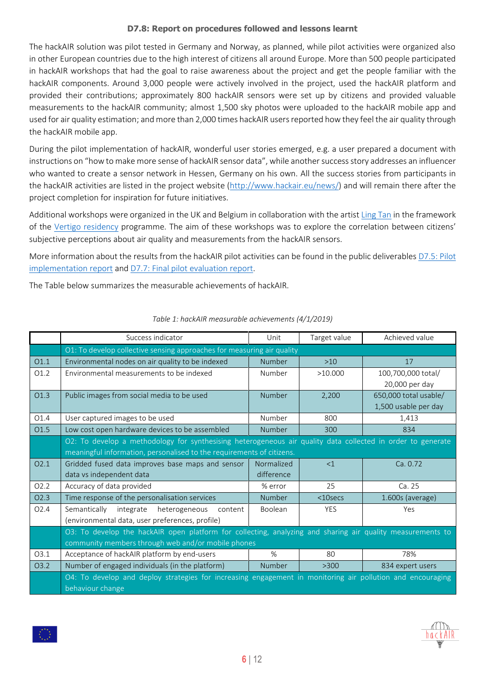The hackAIR solution was pilot tested in Germany and Norway, as planned, while pilot activities were organized also in other European countries due to the high interest of citizens all around Europe. More than 500 people participated in hackAIR workshops that had the goal to raise awareness about the project and get the people familiar with the hackAIR components. Around 3,000 people were actively involved in the project, used the hackAIR platform and provided their contributions; approximately 800 hackAIR sensors were set up by citizens and provided valuable measurements to the hackAIR community; almost 1,500 sky photos were uploaded to the hackAIR mobile app and used for air quality estimation; and more than 2,000 times hackAIR users reported how they feel the air quality through the hackAIR mobile app.

During the pilot implementation of hackAIR, wonderful user stories emerged, e.g. a user prepared a document with instructions on "how to make more sense of hackAIR sensor data", while another success story addresses an influencer who wanted to create a sensor network in Hessen, Germany on his own. All the success stories from participants in the hackAIR activities are listed in the project website [\(http://www.hackair.eu/news/\)](http://www.hackair.eu/news/) and will remain there after the project completion for inspiration for future initiatives.

Additional workshops were organized in the UK and Belgium in collaboration with the artist [Ling Tan](http://lingql.com/about/) in the framework of the [Vertigo residency](https://vertigo.starts.eu/calls/2017/residencies/pollution-explorers/detail/) programme. The aim of these workshops was to explore the correlation between citizens' subjective perceptions about air quality and measurements from the hackAIR sensors.

More information about the results from the hackAIR pilot activities can be found in the public deliverables [D7.5:](https://doi.org/10.5281/zenodo.2531130) Pilot [implementation report](https://doi.org/10.5281/zenodo.2531130) and [D7.7: Final pilot evaluation report.](https://doi.org/10.5281/zenodo.2531140)

The Table below summarizes the measurable achievements of hackAIR.

<span id="page-5-0"></span>

|                  | Success indicator                                                                                                              | Unit       | Target value | Achieved value        |  |  |  |
|------------------|--------------------------------------------------------------------------------------------------------------------------------|------------|--------------|-----------------------|--|--|--|
|                  | O1: To develop collective sensing approaches for measuring air quality                                                         |            |              |                       |  |  |  |
| 01.1             | Environmental nodes on air quality to be indexed                                                                               | Number     | $>10$        | 17                    |  |  |  |
| O1.2             | Environmental measurements to be indexed                                                                                       | Number     | >10.000      | 100,700,000 total/    |  |  |  |
|                  |                                                                                                                                |            |              | 20,000 per day        |  |  |  |
| O1.3             | Public images from social media to be used                                                                                     | Number     | 2,200        | 650,000 total usable/ |  |  |  |
|                  |                                                                                                                                |            |              | 1,500 usable per day  |  |  |  |
| O1.4             | User captured images to be used                                                                                                | Number     | 800          | 1,413                 |  |  |  |
| O1.5             | Low cost open hardware devices to be assembled                                                                                 | Number     | 300          | 834                   |  |  |  |
|                  | O2: To develop a methodology for synthesising heterogeneous air quality data collected in order to generate                    |            |              |                       |  |  |  |
|                  | meaningful information, personalised to the requirements of citizens.                                                          |            |              |                       |  |  |  |
| O2.1             | Gridded fused data improves base maps and sensor                                                                               | Normalized | <1           | Ca. 0.72              |  |  |  |
|                  | data vs independent data                                                                                                       | difference |              |                       |  |  |  |
| O <sub>2.2</sub> | Accuracy of data provided                                                                                                      | % error    | 25           | Ca. 25                |  |  |  |
| O <sub>2.3</sub> | Time response of the personalisation services                                                                                  | Number     | $<$ 10secs   | 1.600s (average)      |  |  |  |
| O <sub>2.4</sub> | heterogeneous<br>Semantically integrate<br>content                                                                             | Boolean    | <b>YES</b>   | Yes                   |  |  |  |
|                  | (environmental data, user preferences, profile)                                                                                |            |              |                       |  |  |  |
|                  | O3: To develop the hackAIR open platform for collecting, analyzing and sharing air quality measurements to                     |            |              |                       |  |  |  |
|                  | community members through web and/or mobile phones                                                                             |            |              |                       |  |  |  |
| 03.1             | Acceptance of hackAIR platform by end-users                                                                                    | %          | 80           | 78%                   |  |  |  |
| O <sub>3.2</sub> | Number of engaged individuals (in the platform)                                                                                | Number     | >300         | 834 expert users      |  |  |  |
|                  | O4: To develop and deploy strategies for increasing engagement in monitoring air pollution and encouraging<br>behaviour change |            |              |                       |  |  |  |

#### *Table 1: hackAIR measurable achievements (4/1/2019)*

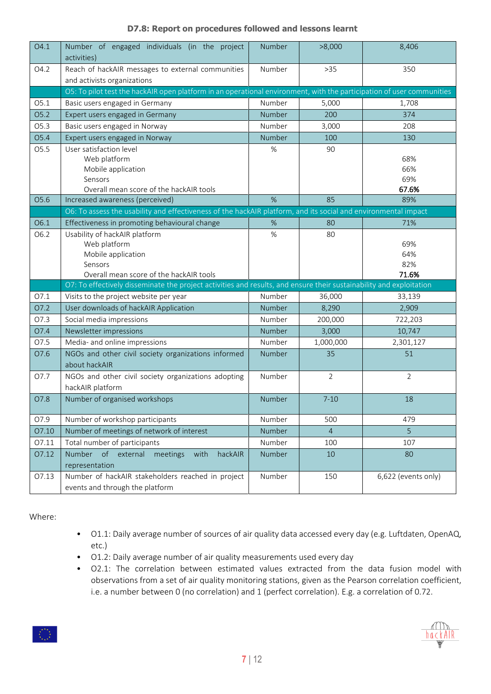| O4.1  | Number of engaged individuals (in the project<br>activities)                                                              | Number | >8,000         | 8,406                      |
|-------|---------------------------------------------------------------------------------------------------------------------------|--------|----------------|----------------------------|
| O4.2  | Reach of hackAIR messages to external communities<br>and activists organizations                                          | Number | $>35$          | 350                        |
|       | O5: To pilot test the hackAIR open platform in an operational environment, with the participation of user communities     |        |                |                            |
| O5.1  | Basic users engaged in Germany                                                                                            | Number | 5,000          | 1,708                      |
| O5.2  | Expert users engaged in Germany                                                                                           | Number | 200            | 374                        |
| O5.3  | Basic users engaged in Norway                                                                                             | Number | 3,000          | 208                        |
| O5.4  | Expert users engaged in Norway                                                                                            | Number | 100            | 130                        |
| O5.5  | User satisfaction level<br>Web platform<br>Mobile application<br>Sensors<br>Overall mean score of the hackAIR tools       | %      | 90             | 68%<br>66%<br>69%<br>67.6% |
| O5.6  | Increased awareness (perceived)                                                                                           | %      | 85             | 89%                        |
|       | O6: To assess the usability and effectiveness of the hackAIR platform, and its social and environmental impact            |        |                |                            |
| O6.1  | Effectiveness in promoting behavioural change                                                                             | %      | 80             | 71%                        |
| O6.2  | Usability of hackAIR platform<br>Web platform<br>Mobile application<br>Sensors<br>Overall mean score of the hackAIR tools | $\%$   | 80             | 69%<br>64%<br>82%<br>71.6% |
|       | O7: To effectively disseminate the project activities and results, and ensure their sustainability and exploitation       |        |                |                            |
| O7.1  | Visits to the project website per year                                                                                    | Number | 36,000         | 33,139                     |
| O7.2  | User downloads of hackAIR Application                                                                                     | Number | 8,290          | 2,909                      |
| O7.3  | Social media impressions                                                                                                  | Number | 200,000        | 722,203                    |
| O7.4  | Newsletter impressions                                                                                                    | Number | 3,000          | 10,747                     |
| O7.5  | Media- and online impressions                                                                                             | Number | 1,000,000      | 2,301,127                  |
| O7.6  | NGOs and other civil society organizations informed<br>about hackAIR                                                      | Number | 35             | 51                         |
| 07.7  | NGOs and other civil society organizations adopting<br>hackAIR platform                                                   | Number | $\overline{2}$ | $\overline{2}$             |
| O7.8  | Number of organised workshops                                                                                             | Number | $7 - 10$       | 18                         |
| O7.9  | Number of workshop participants                                                                                           | Number | 500            | 479                        |
| 07.10 | Number of meetings of network of interest                                                                                 | Number | $\overline{4}$ | 5                          |
| 07.11 | Total number of participants                                                                                              | Number | 100            | 107                        |
| 07.12 | of external<br>meetings<br>with<br>Number<br>hackAIR<br>representation                                                    | Number | 10             | 80                         |
| 07.13 | Number of hackAIR stakeholders reached in project<br>events and through the platform                                      | Number | 150            | 6,622 (events only)        |

Where:

- Ο1.1: Daily average number of sources of air quality data accessed every day (e.g. Luftdaten, OpenAQ, etc.)
- O1.2: Daily average number of air quality measurements used every day
- O2.1: The correlation between estimated values extracted from the data fusion model with observations from a set of air quality monitoring stations, given as the Pearson correlation coefficient, i.e. a number between 0 (no correlation) and 1 (perfect correlation). E.g. a correlation of 0.72.



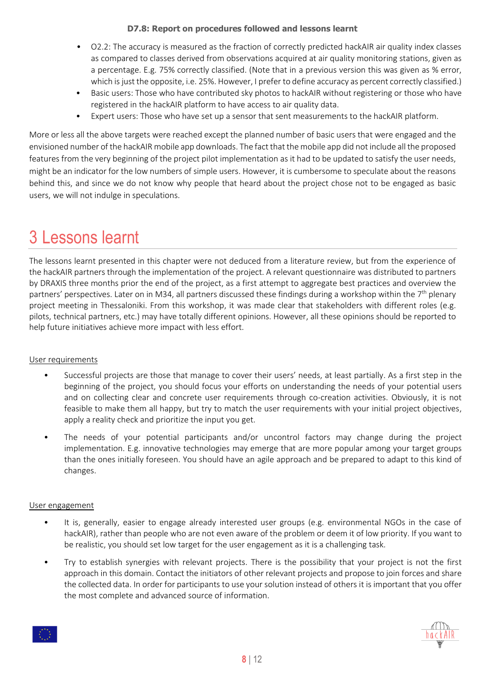- O2.2: The accuracy is measured as the fraction of correctly predicted hackAIR air quality index classes as compared to classes derived from observations acquired at air quality monitoring stations, given as a percentage. E.g. 75% correctly classified. (Note that in a previous version this was given as % error, which is just the opposite, i.e. 25%. However, I prefer to define accuracy as percent correctly classified.)
- Basic users: Those who have contributed sky photos to hackAIR without registering or those who have registered in the hackAIR platform to have access to air quality data.
- Expert users: Those who have set up a sensor that sent measurements to the hackAIR platform.

More or less all the above targets were reached except the planned number of basic users that were engaged and the envisioned number of the hackAIR mobile app downloads. The fact that the mobile app did not include all the proposed features from the very beginning of the project pilot implementation as it had to be updated to satisfy the user needs, might be an indicator for the low numbers of simple users. However, it is cumbersome to speculate about the reasons behind this, and since we do not know why people that heard about the project chose not to be engaged as basic users, we will not indulge in speculations.

## <span id="page-7-0"></span>3 Lessons learnt

The lessons learnt presented in this chapter were not deduced from a literature review, but from the experience of the hackAIR partners through the implementation of the project. A relevant questionnaire was distributed to partners by DRAXIS three months prior the end of the project, as a first attempt to aggregate best practices and overview the partners' perspectives. Later on in M34, all partners discussed these findings during a workshop within the 7<sup>th</sup> plenary project meeting in Thessaloniki. From this workshop, it was made clear that stakeholders with different roles (e.g. pilots, technical partners, etc.) may have totally different opinions. However, all these opinions should be reported to help future initiatives achieve more impact with less effort.

#### User requirements

- Successful projects are those that manage to cover their users' needs, at least partially. As a first step in the beginning of the project, you should focus your efforts on understanding the needs of your potential users and on collecting clear and concrete user requirements through co-creation activities. Obviously, it is not feasible to make them all happy, but try to match the user requirements with your initial project objectives, apply a reality check and prioritize the input you get.
- The needs of your potential participants and/or uncontrol factors may change during the project implementation. E.g. innovative technologies may emerge that are more popular among your target groups than the ones initially foreseen. You should have an agile approach and be prepared to adapt to this kind of changes.

#### User engagement

- It is, generally, easier to engage already interested user groups (e.g. environmental NGOs in the case of hackAIR), rather than people who are not even aware of the problem or deem it of low priority. If you want to be realistic, you should set low target for the user engagement as it is a challenging task.
- Try to establish synergies with relevant projects. There is the possibility that your project is not the first approach in this domain. Contact the initiators of other relevant projects and propose to join forces and share the collected data. In order for participants to use your solution instead of others it is important that you offer the most complete and advanced source of information.



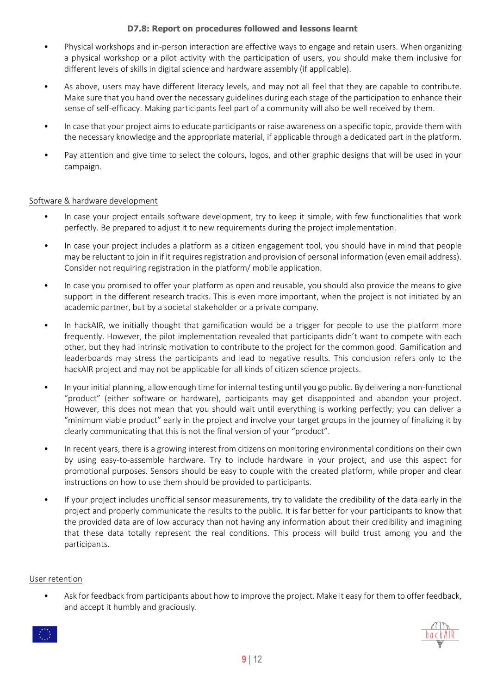- Physical workshops and in-person interaction are effective ways to engage and retain users. When organizing a physical workshop or a pilot activity with the participation of users, you should make them inclusive for different levels of skills in digital science and hardware assembly (if applicable).
- As above, users may have different literacy levels, and may not all feel that they are capable to contribute. Make sure that you hand over the necessary guidelines during each stage of the participation to enhance their sense of self-efficacy. Making participants feel part of a community will also be well received by them.
- In case that your project aims to educate participants or raise awareness on a specific topic, provide them with the necessary knowledge and the appropriate material, if applicable through a dedicated part in the platform.
- Pay attention and give time to select the colours, logos, and other graphic designs that will be used in your campaign.

#### Software & hardware development

- In case your project entails software development, try to keep it simple, with few functionalities that work perfectly. Be prepared to adjust it to new requirements during the project implementation.
- In case your project includes a platform as a citizen engagement tool, you should have in mind that people may be reluctant to join in if it requires registration and provision of personal information (even email address). Consider not requiring registration in the platform/ mobile application.
- In case you promised to offer your platform as open and reusable, you should also provide the means to give support in the different research tracks. This is even more important, when the project is not initiated by an academic partner, but by a societal stakeholder or a private company.
- In hackAIR, we initially thought that gamification would be a trigger for people to use the platform more frequently. However, the pilot implementation revealed that participants didn't want to compete with each other, but they had intrinsic motivation to contribute to the project for the common good. Gamification and leaderboards may stress the participants and lead to negative results. This conclusion refers only to the hackAIR project and may not be applicable for all kinds of citizen science projects.
- In your initial planning, allow enough time for internal testing until you go public. By delivering a non-functional "product" (either software or hardware), participants may get disappointed and abandon your project. However, this does not mean that you should wait until everything is working perfectly; you can deliver a "minimum viable product" early in the project and involve your target groups in the journey of finalizing it by clearly communicating that this is not the final version of your "product".
- In recent years, there is a growing interest from citizens on monitoring environmental conditions on their own by using easy-to-assemble hardware. Try to include hardware in your project, and use this aspect for promotional purposes. Sensors should be easy to couple with the created platform, while proper and clear instructions on how to use them should be provided to participants.
- If your project includes unofficial sensor measurements, try to validate the credibility of the data early in the project and properly communicate the results to the public. It is far better for your participants to know that the provided data are of low accuracy than not having any information about their credibility and imagining that these data totally represent the real conditions. This process will build trust among you and the participants.

#### User retention

• Ask for feedback from participants about how to improve the project. Make it easy for them to offer feedback, and accept it humbly and graciously.



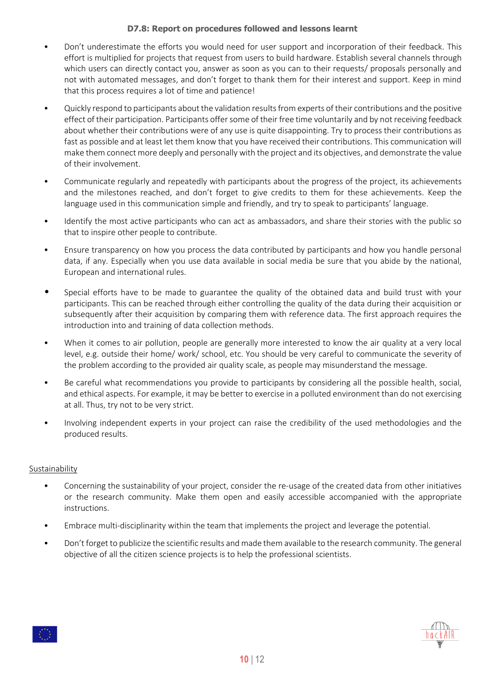- Don't underestimate the efforts you would need for user support and incorporation of their feedback. This effort is multiplied for projects that request from users to build hardware. Establish several channels through which users can directly contact you, answer as soon as you can to their requests/ proposals personally and not with automated messages, and don't forget to thank them for their interest and support. Keep in mind that this process requires a lot of time and patience!
- Quickly respond to participants about the validation results from experts of their contributions and the positive effect of their participation. Participants offer some of their free time voluntarily and by not receiving feedback about whether their contributions were of any use is quite disappointing. Try to process their contributions as fast as possible and at least let them know that you have received their contributions. This communication will make them connect more deeply and personally with the project and its objectives, and demonstrate the value of their involvement.
- Communicate regularly and repeatedly with participants about the progress of the project, its achievements and the milestones reached, and don't forget to give credits to them for these achievements. Keep the language used in this communication simple and friendly, and try to speak to participants' language.
- Identify the most active participants who can act as ambassadors, and share their stories with the public so that to inspire other people to contribute.
- Ensure transparency on how you process the data contributed by participants and how you handle personal data, if any. Especially when you use data available in social media be sure that you abide by the national, European and international rules.
- Special efforts have to be made to guarantee the quality of the obtained data and build trust with your participants. This can be reached through either controlling the quality of the data during their acquisition or subsequently after their acquisition by comparing them with reference data. The first approach requires the introduction into and training of data collection methods.
- When it comes to air pollution, people are generally more interested to know the air quality at a very local level, e.g. outside their home/ work/ school, etc. You should be very careful to communicate the severity of the problem according to the provided air quality scale, as people may misunderstand the message.
- Be careful what recommendations you provide to participants by considering all the possible health, social, and ethical aspects. For example, it may be better to exercise in a polluted environment than do not exercising at all. Thus, try not to be very strict.
- Involving independent experts in your project can raise the credibility of the used methodologies and the produced results.

#### Sustainability

- Concerning the sustainability of your project, consider the re-usage of the created data from other initiatives or the research community. Make them open and easily accessible accompanied with the appropriate instructions.
- Embrace multi-disciplinarity within the team that implements the project and leverage the potential.
- Don't forget to publicize the scientific results and made them available to the research community. The general objective of all the citizen science projects is to help the professional scientists.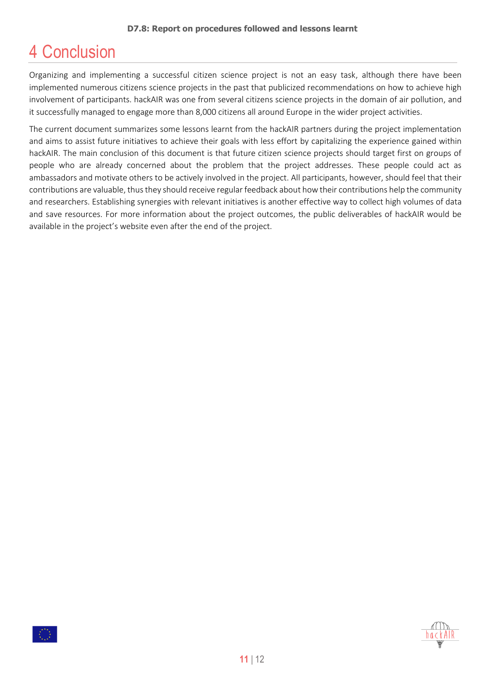### <span id="page-10-0"></span>4 Conclusion

Organizing and implementing a successful citizen science project is not an easy task, although there have been implemented numerous citizens science projects in the past that publicized recommendations on how to achieve high involvement of participants. hackAIR was one from several citizens science projects in the domain of air pollution, and it successfully managed to engage more than 8,000 citizens all around Europe in the wider project activities.

The current document summarizes some lessons learnt from the hackAIR partners during the project implementation and aims to assist future initiatives to achieve their goals with less effort by capitalizing the experience gained within hackAIR. The main conclusion of this document is that future citizen science projects should target first on groups of people who are already concerned about the problem that the project addresses. These people could act as ambassadors and motivate others to be actively involved in the project. All participants, however, should feel that their contributions are valuable, thus they should receive regular feedback about how their contributions help the community and researchers. Establishing synergies with relevant initiatives is another effective way to collect high volumes of data and save resources. For more information about the project outcomes, the public deliverables of hackAIR would be available in the project's website even after the end of the project.